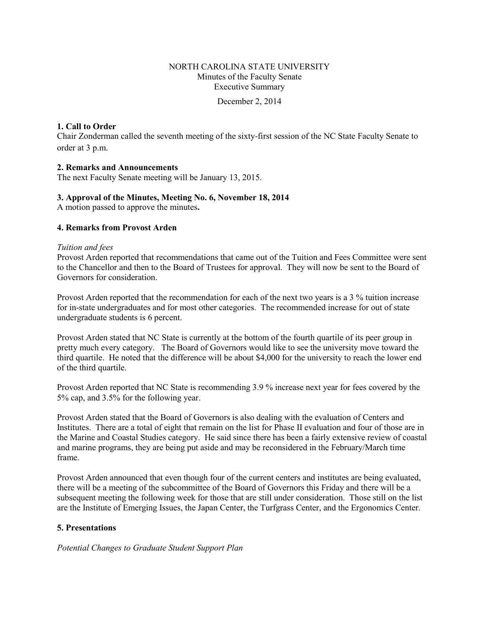## NORTH CAROLINA STATE UNIVERSITY Minutes of the Faculty Senate Executive Summary

December 2, 2014

## **1. Call to Order**

Chair Zonderman called the seventh meeting of the sixty-first session of the NC State Faculty Senate to order at 3 p.m.

## **2. Remarks and Announcements**

The next Faculty Senate meeting will be January 13, 2015.

## **3. Approval of the Minutes, Meeting No. 6, November 18, 2014**

A motion passed to approve the minutes**.** 

## **4. Remarks from Provost Arden**

#### *Tuition and fees*

Provost Arden reported that recommendations that came out of the Tuition and Fees Committee were sent to the Chancellor and then to the Board of Trustees for approval. They will now be sent to the Board of Governors for consideration.

Provost Arden reported that the recommendation for each of the next two years is a 3 % tuition increase for in-state undergraduates and for most other categories. The recommended increase for out of state undergraduate students is 6 percent.

Provost Arden stated that NC State is currently at the bottom of the fourth quartile of its peer group in pretty much every category. The Board of Governors would like to see the university move toward the third quartile. He noted that the difference will be about \$4,000 for the university to reach the lower end of the third quartile.

Provost Arden reported that NC State is recommending 3.9 % increase next year for fees covered by the 5% cap, and 3.5% for the following year.

Provost Arden stated that the Board of Governors is also dealing with the evaluation of Centers and Institutes. There are a total of eight that remain on the list for Phase II evaluation and four of those are in the Marine and Coastal Studies category. He said since there has been a fairly extensive review of coastal and marine programs, they are being put aside and may be reconsidered in the February/March time frame.

Provost Arden announced that even though four of the current centers and institutes are being evaluated, there will be a meeting of the subcommittee of the Board of Governors this Friday and there will be a subsequent meeting the following week for those that are still under consideration. Those still on the list are the Institute of Emerging Issues, the Japan Center, the Turfgrass Center, and the Ergonomics Center.

## **5. Presentations**

*Potential Changes to Graduate Student Support Plan*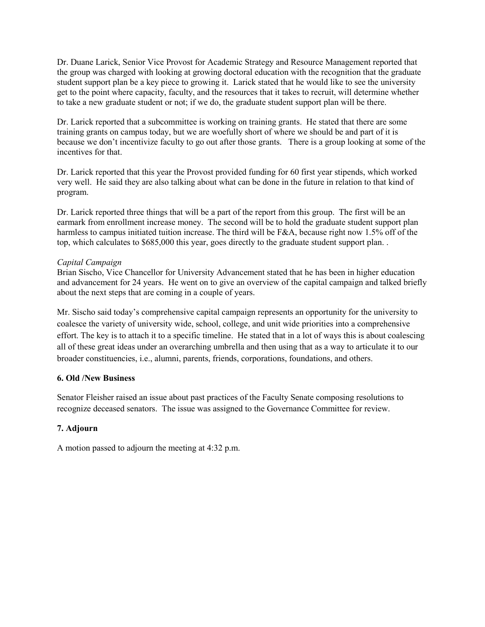Dr. Duane Larick, Senior Vice Provost for Academic Strategy and Resource Management reported that the group was charged with looking at growing doctoral education with the recognition that the graduate student support plan be a key piece to growing it. Larick stated that he would like to see the university get to the point where capacity, faculty, and the resources that it takes to recruit, will determine whether to take a new graduate student or not; if we do, the graduate student support plan will be there.

Dr. Larick reported that a subcommittee is working on training grants. He stated that there are some training grants on campus today, but we are woefully short of where we should be and part of it is because we don't incentivize faculty to go out after those grants. There is a group looking at some of the incentives for that.

Dr. Larick reported that this year the Provost provided funding for 60 first year stipends, which worked very well. He said they are also talking about what can be done in the future in relation to that kind of program.

Dr. Larick reported three things that will be a part of the report from this group. The first will be an earmark from enrollment increase money. The second will be to hold the graduate student support plan harmless to campus initiated tuition increase. The third will be F&A, because right now 1.5% off of the top, which calculates to \$685,000 this year, goes directly to the graduate student support plan. .

## *Capital Campaign*

Brian Sischo, Vice Chancellor for University Advancement stated that he has been in higher education and advancement for 24 years. He went on to give an overview of the capital campaign and talked briefly about the next steps that are coming in a couple of years.

Mr. Sischo said today's comprehensive capital campaign represents an opportunity for the university to coalesce the variety of university wide, school, college, and unit wide priorities into a comprehensive effort. The key is to attach it to a specific timeline. He stated that in a lot of ways this is about coalescing all of these great ideas under an overarching umbrella and then using that as a way to articulate it to our broader constituencies, i.e., alumni, parents, friends, corporations, foundations, and others.

## **6. Old /New Business**

Senator Fleisher raised an issue about past practices of the Faculty Senate composing resolutions to recognize deceased senators. The issue was assigned to the Governance Committee for review.

## **7. Adjourn**

A motion passed to adjourn the meeting at 4:32 p.m.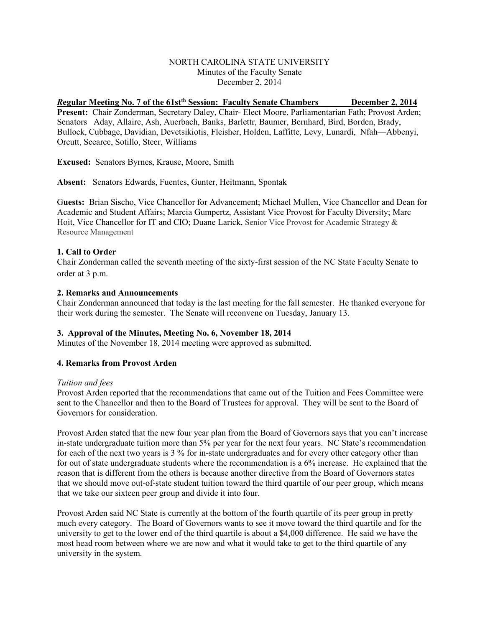## NORTH CAROLINA STATE UNIVERSITY Minutes of the Faculty Senate December 2, 2014

# *R***egular Meeting No. 7 of the 61stth Session: Faculty Senate Chambers December 2, 2014**

Present: Chair Zonderman, Secretary Daley, Chair- Elect Moore, Parliamentarian Fath; Provost Arden; Senators Aday, Allaire, Ash, Auerbach, Banks, Barlettr, Baumer, Bernhard, Bird, Borden, Brady, Bullock, Cubbage, Davidian, Devetsikiotis, Fleisher, Holden, Laffitte, Levy, Lunardi, Nfah—Abbenyi, Orcutt, Scearce, Sotillo, Steer, Williams

**Excused:** Senators Byrnes, Krause, Moore, Smith

**Absent:** Senators Edwards, Fuentes, Gunter, Heitmann, Spontak

G**uests:** Brian Sischo, Vice Chancellor for Advancement; Michael Mullen, Vice Chancellor and Dean for Academic and Student Affairs; Marcia Gumpertz, Assistant Vice Provost for Faculty Diversity; Marc Hoit, Vice Chancellor for IT and CIO; Duane Larick, Senior Vice Provost for Academic Strategy & Resource Management

## **1. Call to Order**

Chair Zonderman called the seventh meeting of the sixty-first session of the NC State Faculty Senate to order at 3 p.m.

## **2. Remarks and Announcements**

Chair Zonderman announced that today is the last meeting for the fall semester. He thanked everyone for their work during the semester. The Senate will reconvene on Tuesday, January 13.

## **3. Approval of the Minutes, Meeting No. 6, November 18, 2014**

Minutes of the November 18, 2014 meeting were approved as submitted.

## **4. Remarks from Provost Arden**

## *Tuition and fees*

Provost Arden reported that the recommendations that came out of the Tuition and Fees Committee were sent to the Chancellor and then to the Board of Trustees for approval. They will be sent to the Board of Governors for consideration.

Provost Arden stated that the new four year plan from the Board of Governors says that you can't increase in-state undergraduate tuition more than 5% per year for the next four years. NC State's recommendation for each of the next two years is 3 % for in-state undergraduates and for every other category other than for out of state undergraduate students where the recommendation is a 6% increase. He explained that the reason that is different from the others is because another directive from the Board of Governors states that we should move out-of-state student tuition toward the third quartile of our peer group, which means that we take our sixteen peer group and divide it into four.

Provost Arden said NC State is currently at the bottom of the fourth quartile of its peer group in pretty much every category. The Board of Governors wants to see it move toward the third quartile and for the university to get to the lower end of the third quartile is about a \$4,000 difference. He said we have the most head room between where we are now and what it would take to get to the third quartile of any university in the system.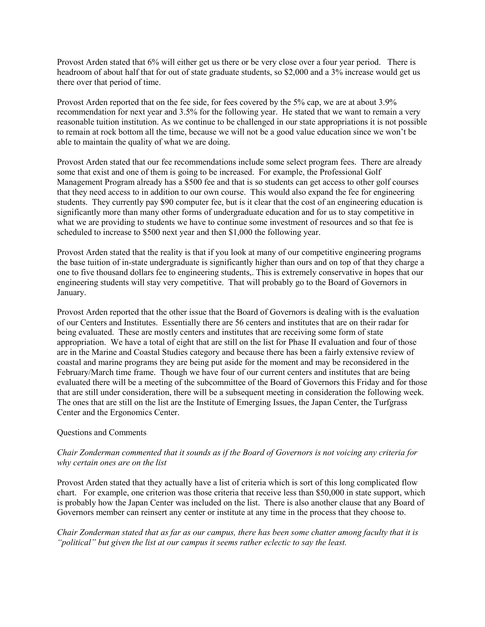Provost Arden stated that 6% will either get us there or be very close over a four year period. There is headroom of about half that for out of state graduate students, so \$2,000 and a 3% increase would get us there over that period of time.

Provost Arden reported that on the fee side, for fees covered by the 5% cap, we are at about 3.9% recommendation for next year and 3.5% for the following year. He stated that we want to remain a very reasonable tuition institution. As we continue to be challenged in our state appropriations it is not possible to remain at rock bottom all the time, because we will not be a good value education since we won't be able to maintain the quality of what we are doing.

Provost Arden stated that our fee recommendations include some select program fees. There are already some that exist and one of them is going to be increased. For example, the Professional Golf Management Program already has a \$500 fee and that is so students can get access to other golf courses that they need access to in addition to our own course. This would also expand the fee for engineering students. They currently pay \$90 computer fee, but is it clear that the cost of an engineering education is significantly more than many other forms of undergraduate education and for us to stay competitive in what we are providing to students we have to continue some investment of resources and so that fee is scheduled to increase to \$500 next year and then \$1,000 the following year.

Provost Arden stated that the reality is that if you look at many of our competitive engineering programs the base tuition of in-state undergraduate is significantly higher than ours and on top of that they charge a one to five thousand dollars fee to engineering students,. This is extremely conservative in hopes that our engineering students will stay very competitive. That will probably go to the Board of Governors in January.

Provost Arden reported that the other issue that the Board of Governors is dealing with is the evaluation of our Centers and Institutes. Essentially there are 56 centers and institutes that are on their radar for being evaluated. These are mostly centers and institutes that are receiving some form of state appropriation. We have a total of eight that are still on the list for Phase II evaluation and four of those are in the Marine and Coastal Studies category and because there has been a fairly extensive review of coastal and marine programs they are being put aside for the moment and may be reconsidered in the February/March time frame. Though we have four of our current centers and institutes that are being evaluated there will be a meeting of the subcommittee of the Board of Governors this Friday and for those that are still under consideration, there will be a subsequent meeting in consideration the following week. The ones that are still on the list are the Institute of Emerging Issues, the Japan Center, the Turfgrass Center and the Ergonomics Center.

## Questions and Comments

## *Chair Zonderman commented that it sounds as if the Board of Governors is not voicing any criteria for why certain ones are on the list*

Provost Arden stated that they actually have a list of criteria which is sort of this long complicated flow chart. For example, one criterion was those criteria that receive less than \$50,000 in state support, which is probably how the Japan Center was included on the list. There is also another clause that any Board of Governors member can reinsert any center or institute at any time in the process that they choose to.

*Chair Zonderman stated that as far as our campus, there has been some chatter among faculty that it is "political" but given the list at our campus it seems rather eclectic to say the least.*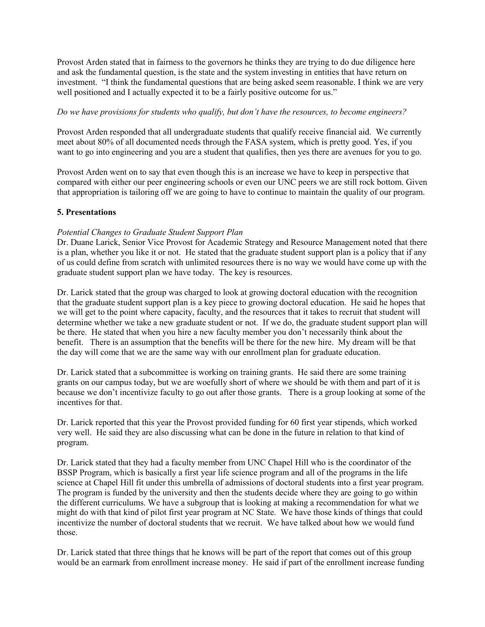Provost Arden stated that in fairness to the governors he thinks they are trying to do due diligence here and ask the fundamental question, is the state and the system investing in entities that have return on investment. "I think the fundamental questions that are being asked seem reasonable. I think we are very well positioned and I actually expected it to be a fairly positive outcome for us."

#### *Do we have provisions for students who qualify, but don't have the resources, to become engineers?*

Provost Arden responded that all undergraduate students that qualify receive financial aid. We currently meet about 80% of all documented needs through the FASA system, which is pretty good. Yes, if you want to go into engineering and you are a student that qualifies, then yes there are avenues for you to go.

Provost Arden went on to say that even though this is an increase we have to keep in perspective that compared with either our peer engineering schools or even our UNC peers we are still rock bottom. Given that appropriation is tailoring off we are going to have to continue to maintain the quality of our program.

## **5. Presentations**

## *Potential Changes to Graduate Student Support Plan*

Dr. Duane Larick, Senior Vice Provost for Academic Strategy and Resource Management noted that there is a plan, whether you like it or not. He stated that the graduate student support plan is a policy that if any of us could define from scratch with unlimited resources there is no way we would have come up with the graduate student support plan we have today. The key is resources.

Dr. Larick stated that the group was charged to look at growing doctoral education with the recognition that the graduate student support plan is a key piece to growing doctoral education. He said he hopes that we will get to the point where capacity, faculty, and the resources that it takes to recruit that student will determine whether we take a new graduate student or not. If we do, the graduate student support plan will be there. He stated that when you hire a new faculty member you don't necessarily think about the benefit. There is an assumption that the benefits will be there for the new hire. My dream will be that the day will come that we are the same way with our enrollment plan for graduate education.

Dr. Larick stated that a subcommittee is working on training grants. He said there are some training grants on our campus today, but we are woefully short of where we should be with them and part of it is because we don't incentivize faculty to go out after those grants. There is a group looking at some of the incentives for that.

Dr. Larick reported that this year the Provost provided funding for 60 first year stipends, which worked very well. He said they are also discussing what can be done in the future in relation to that kind of program.

Dr. Larick stated that they had a faculty member from UNC Chapel Hill who is the coordinator of the BSSP Program, which is basically a first year life science program and all of the programs in the life science at Chapel Hill fit under this umbrella of admissions of doctoral students into a first year program. The program is funded by the university and then the students decide where they are going to go within the different curriculums. We have a subgroup that is looking at making a recommendation for what we might do with that kind of pilot first year program at NC State. We have those kinds of things that could incentivize the number of doctoral students that we recruit. We have talked about how we would fund those.

Dr. Larick stated that three things that he knows will be part of the report that comes out of this group would be an earmark from enrollment increase money. He said if part of the enrollment increase funding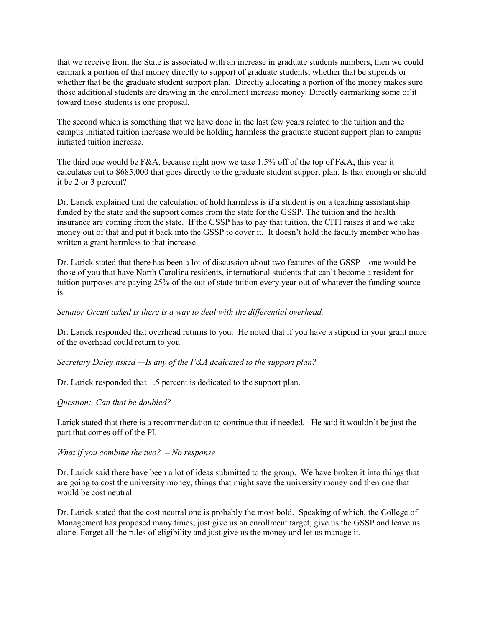that we receive from the State is associated with an increase in graduate students numbers, then we could earmark a portion of that money directly to support of graduate students, whether that be stipends or whether that be the graduate student support plan. Directly allocating a portion of the money makes sure those additional students are drawing in the enrollment increase money. Directly earmarking some of it toward those students is one proposal.

The second which is something that we have done in the last few years related to the tuition and the campus initiated tuition increase would be holding harmless the graduate student support plan to campus initiated tuition increase.

The third one would be F&A, because right now we take 1.5% off of the top of F&A, this year it calculates out to \$685,000 that goes directly to the graduate student support plan. Is that enough or should it be 2 or 3 percent?

Dr. Larick explained that the calculation of hold harmless is if a student is on a teaching assistantship funded by the state and the support comes from the state for the GSSP. The tuition and the health insurance are coming from the state. If the GSSP has to pay that tuition, the CITI raises it and we take money out of that and put it back into the GSSP to cover it. It doesn't hold the faculty member who has written a grant harmless to that increase.

Dr. Larick stated that there has been a lot of discussion about two features of the GSSP—one would be those of you that have North Carolina residents, international students that can't become a resident for tuition purposes are paying 25% of the out of state tuition every year out of whatever the funding source is.

#### *Senator Orcutt asked is there is a way to deal with the differential overhead.*

Dr. Larick responded that overhead returns to you. He noted that if you have a stipend in your grant more of the overhead could return to you.

#### *Secretary Daley asked —Is any of the F&A dedicated to the support plan?*

Dr. Larick responded that 1.5 percent is dedicated to the support plan.

## *Question: Can that be doubled?*

Larick stated that there is a recommendation to continue that if needed. He said it wouldn't be just the part that comes off of the PI.

#### *What if you combine the two? – No response*

Dr. Larick said there have been a lot of ideas submitted to the group. We have broken it into things that are going to cost the university money, things that might save the university money and then one that would be cost neutral.

Dr. Larick stated that the cost neutral one is probably the most bold. Speaking of which, the College of Management has proposed many times, just give us an enrollment target, give us the GSSP and leave us alone. Forget all the rules of eligibility and just give us the money and let us manage it.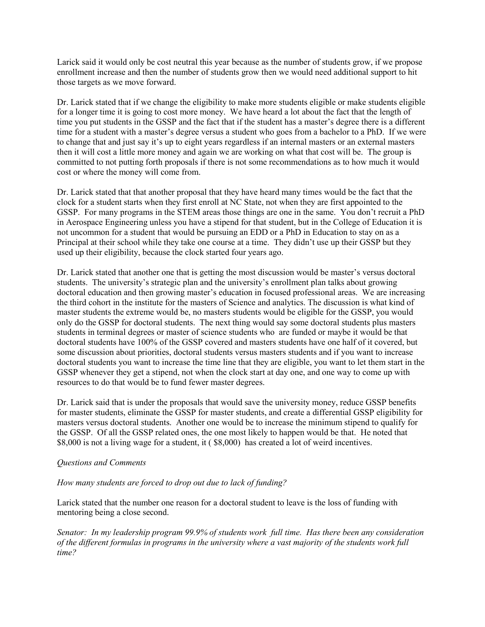Larick said it would only be cost neutral this year because as the number of students grow, if we propose enrollment increase and then the number of students grow then we would need additional support to hit those targets as we move forward.

Dr. Larick stated that if we change the eligibility to make more students eligible or make students eligible for a longer time it is going to cost more money. We have heard a lot about the fact that the length of time you put students in the GSSP and the fact that if the student has a master's degree there is a different time for a student with a master's degree versus a student who goes from a bachelor to a PhD. If we were to change that and just say it's up to eight years regardless if an internal masters or an external masters then it will cost a little more money and again we are working on what that cost will be. The group is committed to not putting forth proposals if there is not some recommendations as to how much it would cost or where the money will come from.

Dr. Larick stated that that another proposal that they have heard many times would be the fact that the clock for a student starts when they first enroll at NC State, not when they are first appointed to the GSSP. For many programs in the STEM areas those things are one in the same. You don't recruit a PhD in Aerospace Engineering unless you have a stipend for that student, but in the College of Education it is not uncommon for a student that would be pursuing an EDD or a PhD in Education to stay on as a Principal at their school while they take one course at a time. They didn't use up their GSSP but they used up their eligibility, because the clock started four years ago.

Dr. Larick stated that another one that is getting the most discussion would be master's versus doctoral students. The university's strategic plan and the university's enrollment plan talks about growing doctoral education and then growing master's education in focused professional areas. We are increasing the third cohort in the institute for the masters of Science and analytics. The discussion is what kind of master students the extreme would be, no masters students would be eligible for the GSSP, you would only do the GSSP for doctoral students. The next thing would say some doctoral students plus masters students in terminal degrees or master of science students who are funded or maybe it would be that doctoral students have 100% of the GSSP covered and masters students have one half of it covered, but some discussion about priorities, doctoral students versus masters students and if you want to increase doctoral students you want to increase the time line that they are eligible, you want to let them start in the GSSP whenever they get a stipend, not when the clock start at day one, and one way to come up with resources to do that would be to fund fewer master degrees.

Dr. Larick said that is under the proposals that would save the university money, reduce GSSP benefits for master students, eliminate the GSSP for master students, and create a differential GSSP eligibility for masters versus doctoral students. Another one would be to increase the minimum stipend to qualify for the GSSP. Of all the GSSP related ones, the one most likely to happen would be that. He noted that \$8,000 is not a living wage for a student, it (\$8,000) has created a lot of weird incentives.

## *Questions and Comments*

## *How many students are forced to drop out due to lack of funding?*

Larick stated that the number one reason for a doctoral student to leave is the loss of funding with mentoring being a close second.

*Senator: In my leadership program 99.9% of students work full time. Has there been any consideration of the different formulas in programs in the university where a vast majority of the students work full time?*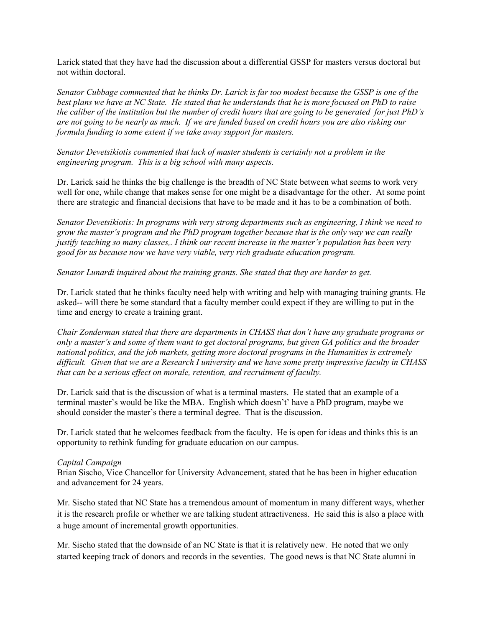Larick stated that they have had the discussion about a differential GSSP for masters versus doctoral but not within doctoral.

*Senator Cubbage commented that he thinks Dr. Larick is far too modest because the GSSP is one of the best plans we have at NC State. He stated that he understands that he is more focused on PhD to raise the caliber of the institution but the number of credit hours that are going to be generated for just PhD's are not going to be nearly as much. If we are funded based on credit hours you are also risking our formula funding to some extent if we take away support for masters.* 

*Senator Devetsikiotis commented that lack of master students is certainly not a problem in the engineering program. This is a big school with many aspects.* 

Dr. Larick said he thinks the big challenge is the breadth of NC State between what seems to work very well for one, while change that makes sense for one might be a disadvantage for the other. At some point there are strategic and financial decisions that have to be made and it has to be a combination of both.

*Senator Devetsikiotis: In programs with very strong departments such as engineering, I think we need to grow the master's program and the PhD program together because that is the only way we can really justify teaching so many classes,. I think our recent increase in the master's population has been very good for us because now we have very viable, very rich graduate education program.*

*Senator Lunardi inquired about the training grants. She stated that they are harder to get.*

Dr. Larick stated that he thinks faculty need help with writing and help with managing training grants. He asked-- will there be some standard that a faculty member could expect if they are willing to put in the time and energy to create a training grant.

*Chair Zonderman stated that there are departments in CHASS that don't have any graduate programs or only a master's and some of them want to get doctoral programs, but given GA politics and the broader national politics, and the job markets, getting more doctoral programs in the Humanities is extremely difficult. Given that we are a Research I university and we have some pretty impressive faculty in CHASS that can be a serious effect on morale, retention, and recruitment of faculty.* 

Dr. Larick said that is the discussion of what is a terminal masters. He stated that an example of a terminal master's would be like the MBA. English which doesn't' have a PhD program, maybe we should consider the master's there a terminal degree. That is the discussion.

Dr. Larick stated that he welcomes feedback from the faculty. He is open for ideas and thinks this is an opportunity to rethink funding for graduate education on our campus.

#### *Capital Campaign*

Brian Sischo, Vice Chancellor for University Advancement, stated that he has been in higher education and advancement for 24 years.

Mr. Sischo stated that NC State has a tremendous amount of momentum in many different ways, whether it is the research profile or whether we are talking student attractiveness. He said this is also a place with a huge amount of incremental growth opportunities.

Mr. Sischo stated that the downside of an NC State is that it is relatively new. He noted that we only started keeping track of donors and records in the seventies. The good news is that NC State alumni in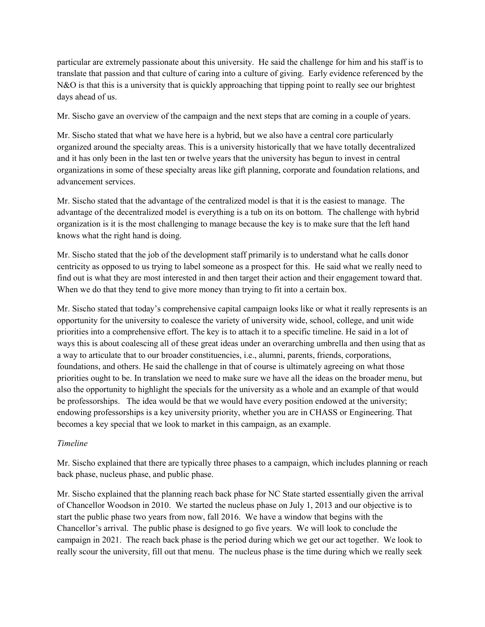particular are extremely passionate about this university. He said the challenge for him and his staff is to translate that passion and that culture of caring into a culture of giving. Early evidence referenced by the N&O is that this is a university that is quickly approaching that tipping point to really see our brightest days ahead of us.

Mr. Sischo gave an overview of the campaign and the next steps that are coming in a couple of years.

Mr. Sischo stated that what we have here is a hybrid, but we also have a central core particularly organized around the specialty areas. This is a university historically that we have totally decentralized and it has only been in the last ten or twelve years that the university has begun to invest in central organizations in some of these specialty areas like gift planning, corporate and foundation relations, and advancement services.

Mr. Sischo stated that the advantage of the centralized model is that it is the easiest to manage. The advantage of the decentralized model is everything is a tub on its on bottom. The challenge with hybrid organization is it is the most challenging to manage because the key is to make sure that the left hand knows what the right hand is doing.

Mr. Sischo stated that the job of the development staff primarily is to understand what he calls donor centricity as opposed to us trying to label someone as a prospect for this. He said what we really need to find out is what they are most interested in and then target their action and their engagement toward that. When we do that they tend to give more money than trying to fit into a certain box.

Mr. Sischo stated that today's comprehensive capital campaign looks like or what it really represents is an opportunity for the university to coalesce the variety of university wide, school, college, and unit wide priorities into a comprehensive effort. The key is to attach it to a specific timeline. He said in a lot of ways this is about coalescing all of these great ideas under an overarching umbrella and then using that as a way to articulate that to our broader constituencies, i.e., alumni, parents, friends, corporations, foundations, and others. He said the challenge in that of course is ultimately agreeing on what those priorities ought to be. In translation we need to make sure we have all the ideas on the broader menu, but also the opportunity to highlight the specials for the university as a whole and an example of that would be professorships. The idea would be that we would have every position endowed at the university; endowing professorships is a key university priority, whether you are in CHASS or Engineering. That becomes a key special that we look to market in this campaign, as an example.

## *Timeline*

Mr. Sischo explained that there are typically three phases to a campaign, which includes planning or reach back phase, nucleus phase, and public phase.

Mr. Sischo explained that the planning reach back phase for NC State started essentially given the arrival of Chancellor Woodson in 2010. We started the nucleus phase on July 1, 2013 and our objective is to start the public phase two years from now, fall 2016. We have a window that begins with the Chancellor's arrival. The public phase is designed to go five years. We will look to conclude the campaign in 2021. The reach back phase is the period during which we get our act together. We look to really scour the university, fill out that menu. The nucleus phase is the time during which we really seek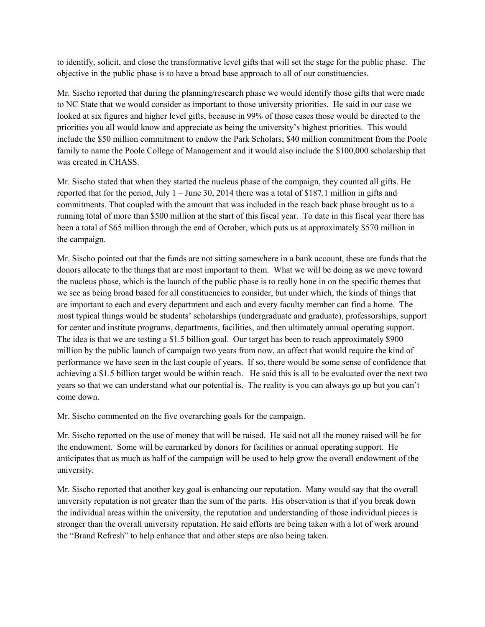to identify, solicit, and close the transformative level gifts that will set the stage for the public phase. The objective in the public phase is to have a broad base approach to all of our constituencies.

Mr. Sischo reported that during the planning/research phase we would identify those gifts that were made to NC State that we would consider as important to those university priorities. He said in our case we looked at six figures and higher level gifts, because in 99% of those cases those would be directed to the priorities you all would know and appreciate as being the university's highest priorities. This would include the \$50 million commitment to endow the Park Scholars; \$40 million commitment from the Poole family to name the Poole College of Management and it would also include the \$100,000 scholarship that was created in CHASS.

Mr. Sischo stated that when they started the nucleus phase of the campaign, they counted all gifts. He reported that for the period, July 1 – June 30, 2014 there was a total of \$187.1 million in gifts and commitments. That coupled with the amount that was included in the reach back phase brought us to a running total of more than \$500 million at the start of this fiscal year. To date in this fiscal year there has been a total of \$65 million through the end of October, which puts us at approximately \$570 million in the campaign.

Mr. Sischo pointed out that the funds are not sitting somewhere in a bank account, these are funds that the donors allocate to the things that are most important to them. What we will be doing as we move toward the nucleus phase, which is the launch of the public phase is to really hone in on the specific themes that we see as being broad based for all constituencies to consider, but under which, the kinds of things that are important to each and every department and each and every faculty member can find a home. The most typical things would be students' scholarships (undergraduate and graduate), professorships, support for center and institute programs, departments, facilities, and then ultimately annual operating support. The idea is that we are testing a \$1.5 billion goal. Our target has been to reach approximately \$900 million by the public launch of campaign two years from now, an affect that would require the kind of performance we have seen in the last couple of years. If so, there would be some sense of confidence that achieving a \$1.5 billion target would be within reach. He said this is all to be evaluated over the next two years so that we can understand what our potential is. The reality is you can always go up but you can't come down.

Mr. Sischo commented on the five overarching goals for the campaign.

Mr. Sischo reported on the use of money that will be raised. He said not all the money raised will be for the endowment. Some will be earmarked by donors for facilities or annual operating support. He anticipates that as much as half of the campaign will be used to help grow the overall endowment of the university.

Mr. Sischo reported that another key goal is enhancing our reputation. Many would say that the overall university reputation is not greater than the sum of the parts. His observation is that if you break down the individual areas within the university, the reputation and understanding of those individual pieces is stronger than the overall university reputation. He said efforts are being taken with a lot of work around the "Brand Refresh" to help enhance that and other steps are also being taken.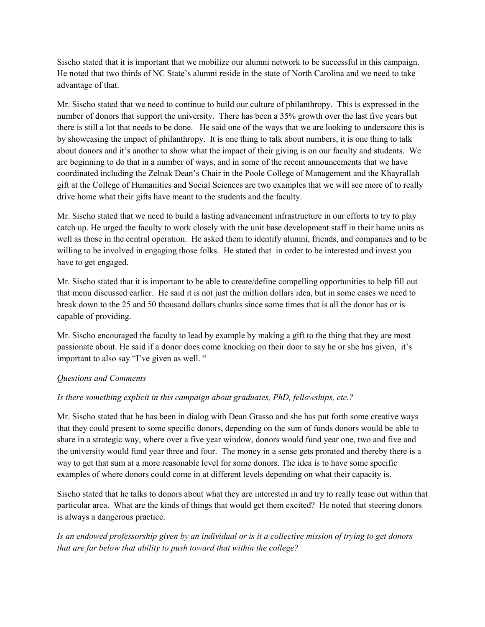Sischo stated that it is important that we mobilize our alumni network to be successful in this campaign. He noted that two thirds of NC State's alumni reside in the state of North Carolina and we need to take advantage of that.

Mr. Sischo stated that we need to continue to build our culture of philanthropy. This is expressed in the number of donors that support the university. There has been a 35% growth over the last five years but there is still a lot that needs to be done. He said one of the ways that we are looking to underscore this is by showcasing the impact of philanthropy. It is one thing to talk about numbers, it is one thing to talk about donors and it's another to show what the impact of their giving is on our faculty and students. We are beginning to do that in a number of ways, and in some of the recent announcements that we have coordinated including the Zelnak Dean's Chair in the Poole College of Management and the Khayrallah gift at the College of Humanities and Social Sciences are two examples that we will see more of to really drive home what their gifts have meant to the students and the faculty.

Mr. Sischo stated that we need to build a lasting advancement infrastructure in our efforts to try to play catch up. He urged the faculty to work closely with the unit base development staff in their home units as well as those in the central operation. He asked them to identify alumni, friends, and companies and to be willing to be involved in engaging those folks. He stated that in order to be interested and invest you have to get engaged.

Mr. Sischo stated that it is important to be able to create/define compelling opportunities to help fill out that menu discussed earlier. He said it is not just the million dollars idea, but in some cases we need to break down to the 25 and 50 thousand dollars chunks since some times that is all the donor has or is capable of providing.

Mr. Sischo encouraged the faculty to lead by example by making a gift to the thing that they are most passionate about. He said if a donor does come knocking on their door to say he or she has given, it's important to also say "I've given as well. "

## *Questions and Comments*

## *Is there something explicit in this campaign about graduates, PhD, fellowships, etc.?*

Mr. Sischo stated that he has been in dialog with Dean Grasso and she has put forth some creative ways that they could present to some specific donors, depending on the sum of funds donors would be able to share in a strategic way, where over a five year window, donors would fund year one, two and five and the university would fund year three and four. The money in a sense gets prorated and thereby there is a way to get that sum at a more reasonable level for some donors. The idea is to have some specific examples of where donors could come in at different levels depending on what their capacity is.

Sischo stated that he talks to donors about what they are interested in and try to really tease out within that particular area. What are the kinds of things that would get them excited? He noted that steering donors is always a dangerous practice.

*Is an endowed professorship given by an individual or is it a collective mission of trying to get donors that are far below that ability to push toward that within the college?*